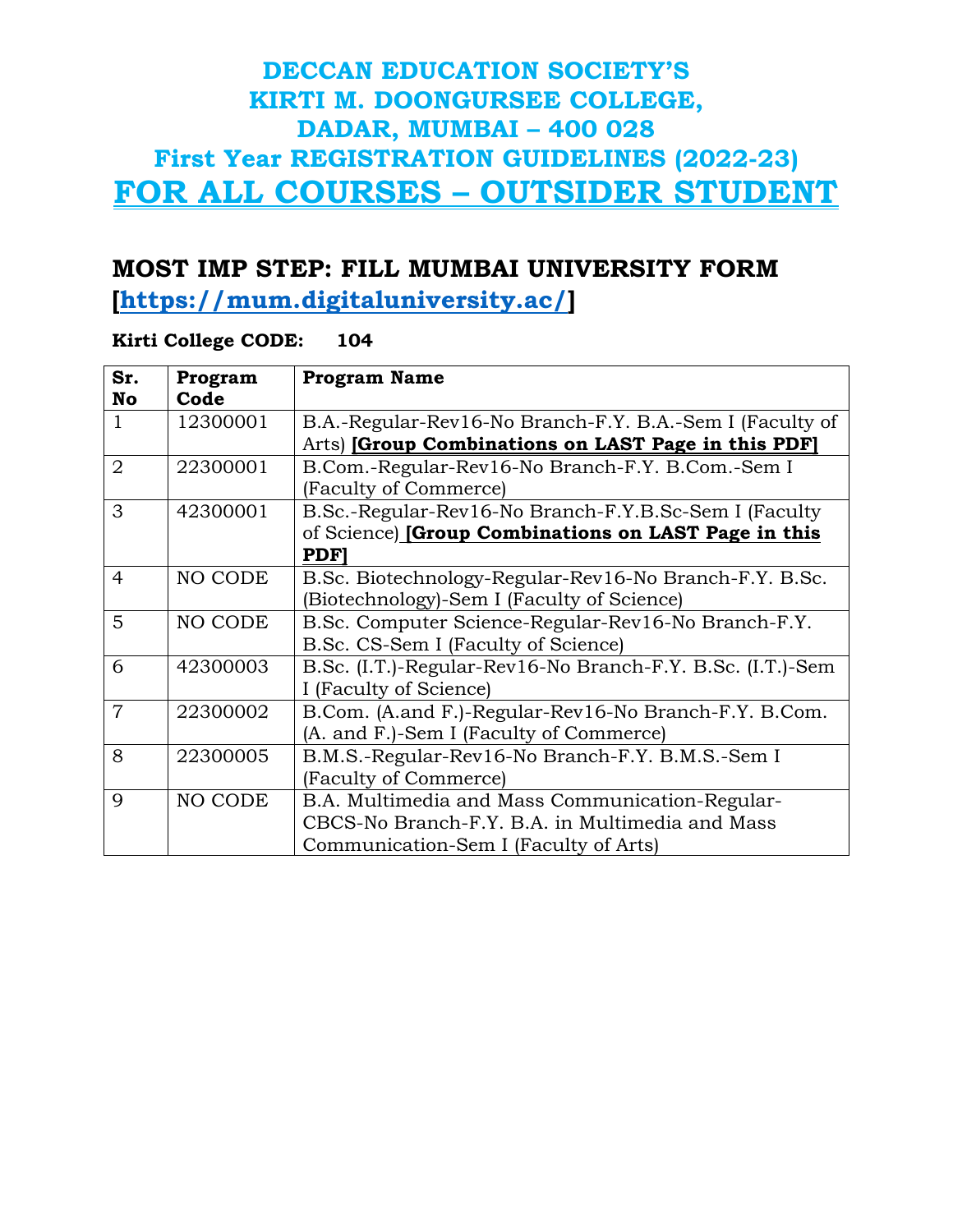#### **MOST IMP STEP: FILL MUMBAI UNIVERSITY FORM**

**[\[https://mum.digitaluniversity.ac/\]](https://mum.digitaluniversity.ac/)**

#### **Kirti College CODE: 104**

| Sr.            | Program  | <b>Program Name</b>                                        |
|----------------|----------|------------------------------------------------------------|
| No             | Code     |                                                            |
| 1              | 12300001 | B.A.-Regular-Rev16-No Branch-F.Y. B.A.-Sem I (Faculty of   |
|                |          | Arts) [Group Combinations on LAST Page in this PDF]        |
| $\overline{2}$ | 22300001 | B.Com.-Regular-Rev16-No Branch-F.Y. B.Com.-Sem I           |
|                |          | (Faculty of Commerce)                                      |
| 3              | 42300001 | B.Sc.-Regular-Rev16-No Branch-F.Y.B.Sc-Sem I (Faculty      |
|                |          | of Science) [Group Combinations on LAST Page in this       |
|                |          | <b>PDF</b>                                                 |
| $\overline{4}$ | NO CODE  | B.Sc. Biotechnology-Regular-Rev16-No Branch-F.Y. B.Sc.     |
|                |          | (Biotechnology)-Sem I (Faculty of Science)                 |
| 5              | NO CODE  | B.Sc. Computer Science-Regular-Rev16-No Branch-F.Y.        |
|                |          | B.Sc. CS-Sem I (Faculty of Science)                        |
| 6              | 42300003 | B.Sc. (I.T.)-Regular-Rev16-No Branch-F.Y. B.Sc. (I.T.)-Sem |
|                |          | I (Faculty of Science)                                     |
| 7              | 22300002 | B.Com. (A.and F.)-Regular-Rev16-No Branch-F.Y. B.Com.      |
|                |          | (A. and F.)-Sem I (Faculty of Commerce)                    |
| 8              | 22300005 | B.M.S.-Regular-Rev16-No Branch-F.Y. B.M.S.-Sem I           |
|                |          | (Faculty of Commerce)                                      |
| 9              | NO CODE  | B.A. Multimedia and Mass Communication-Regular-            |
|                |          | CBCS-No Branch-F.Y. B.A. in Multimedia and Mass            |
|                |          | Communication-Sem I (Faculty of Arts)                      |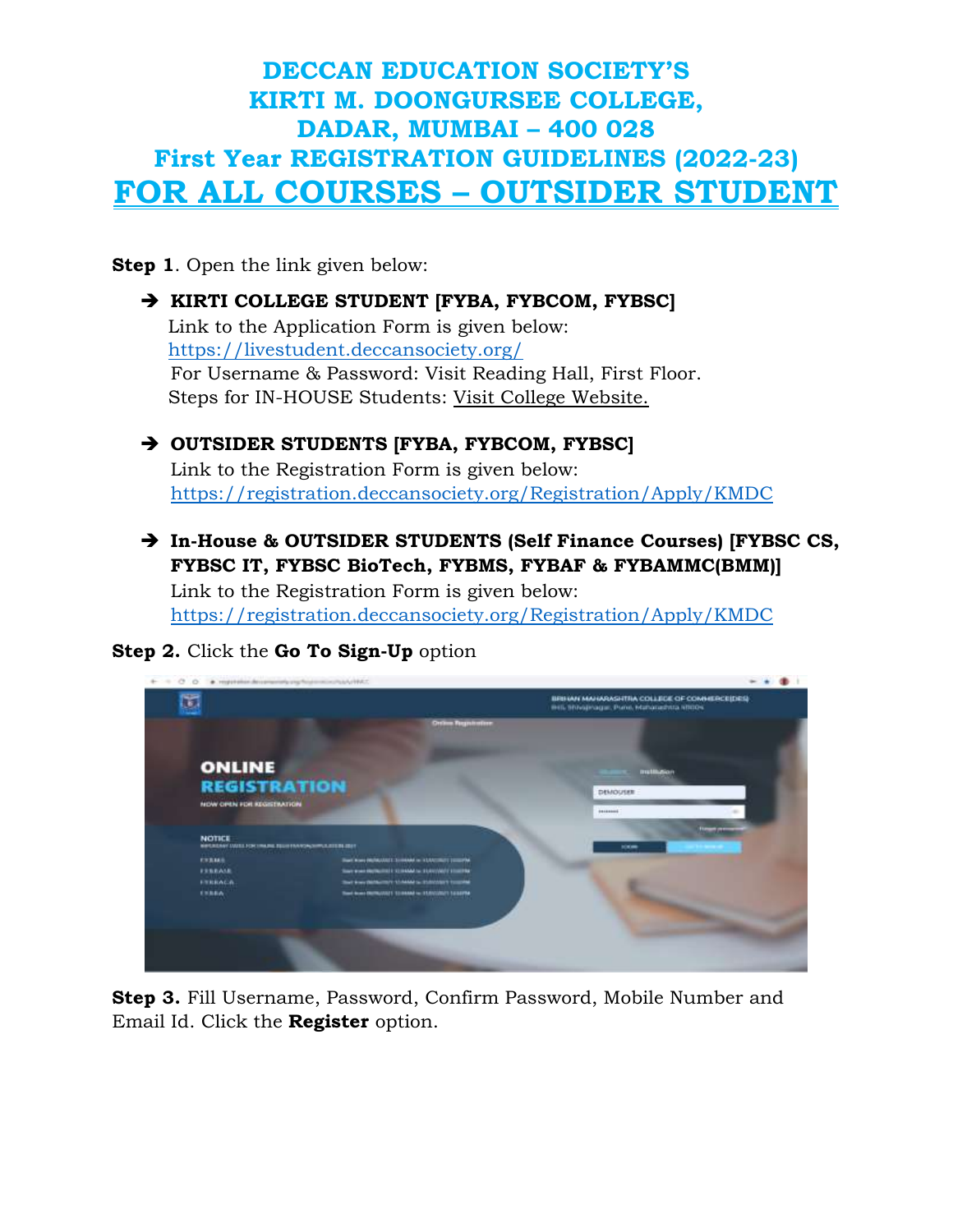**Step 1.** Open the link given below:

#### **KIRTI COLLEGE STUDENT [FYBA, FYBCOM, FYBSC]**

Link to the Application Form is given below: <https://livestudent.deccansociety.org/> For Username & Password: Visit Reading Hall, First Floor. Steps for IN-HOUSE Students: Visit College Website.

#### **OUTSIDER STUDENTS [FYBA, FYBCOM, FYBSC]**

Link to the Registration Form is given below: <https://registration.deccansociety.org/Registration/Apply/KMDC>

 **In-House & OUTSIDER STUDENTS (Self Finance Courses) [FYBSC CS, FYBSC IT, FYBSC BioTech, FYBMS, FYBAF & FYBAMMC(BMM)]**

Link to the Registration Form is given below: <https://registration.deccansociety.org/Registration/Apply/KMDC>

#### **Step 2.** Click the **Go To Sign-Up** option



**Step 3.** Fill Username, Password, Confirm Password, Mobile Number and Email Id. Click the **Register** option.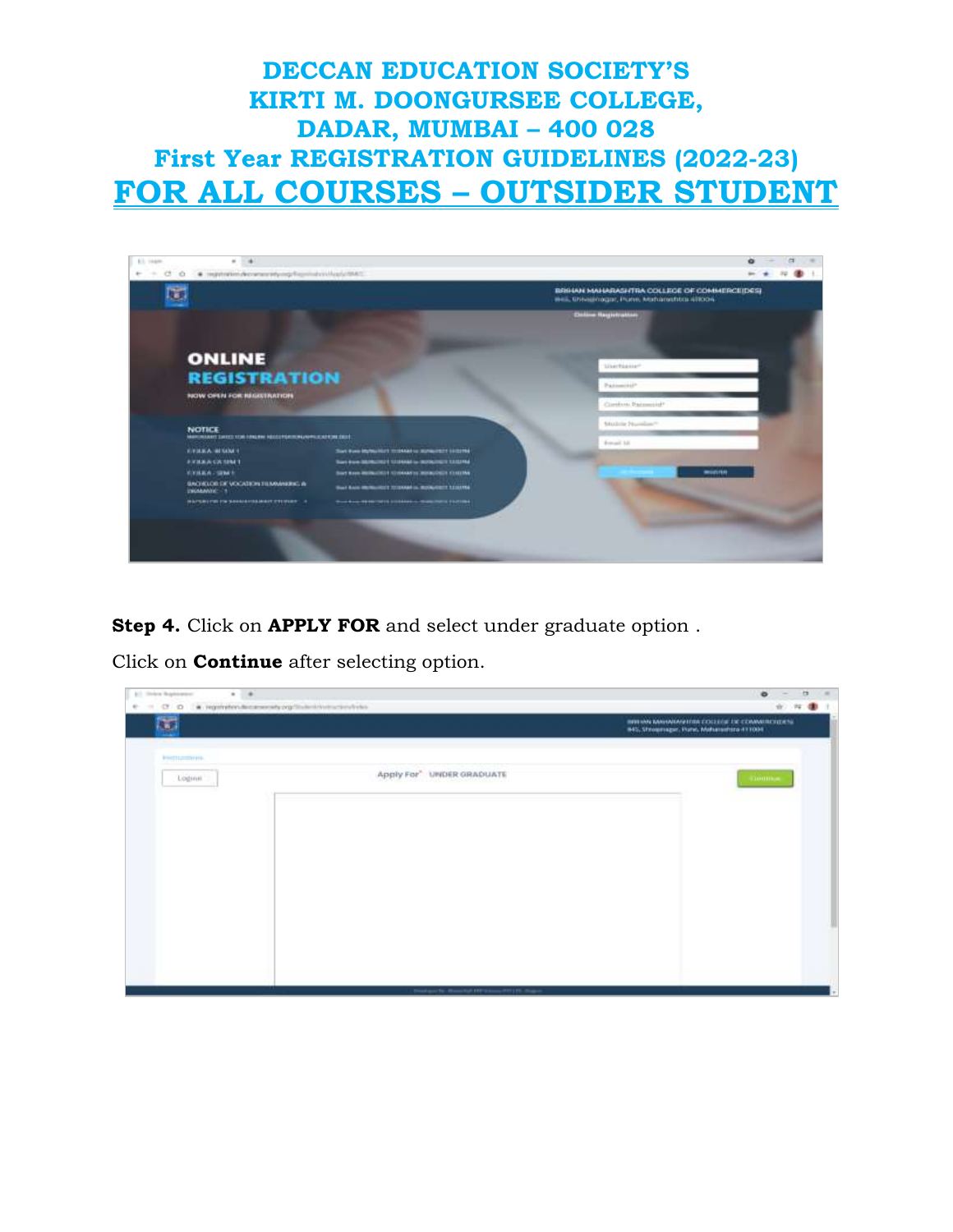

**Step 4.** Click on **APPLY FOR** and select under graduate option .

Click on **Continue** after selecting option.

| $\frac{1}{2}$<br><b>BT Shieler Replacement</b><br>$\alpha$<br>$\Phi \quad \Rightarrow \quad \mathbf{G} \quad \mathbf{D} \quad \text{ is asymptotone, and } \text{argmin}(\mathbf{G} \times \mathbf{D}) = \mathbf{G} \quad \text{or} \quad \mathbf{D} \quad \text{or} \quad \mathbf{D} \quad \text{or} \quad \mathbf{D} \quad \text{or} \quad \mathbf{D} \quad \text{or} \quad \mathbf{D} \quad \text{or} \quad \mathbf{D} \quad \text{or} \quad \mathbf{D} \quad \text{or} \quad \mathbf{D} \quad \text{or} \quad \mathbf{D} \quad \text{or} \quad \mathbf{D} \quad \text{or} \quad$ |                                                       | $\bullet$<br>×<br>$\sim$<br>$\overline{\phantom{a}}$<br>女 社 書 !                 |
|--------------------------------------------------------------------------------------------------------------------------------------------------------------------------------------------------------------------------------------------------------------------------------------------------------------------------------------------------------------------------------------------------------------------------------------------------------------------------------------------------------------------------------------------------------------------------------------|-------------------------------------------------------|---------------------------------------------------------------------------------|
| Ŧ                                                                                                                                                                                                                                                                                                                                                                                                                                                                                                                                                                                    |                                                       | INVESTIGATION COLLEGE DE CONVERCIDESE<br>INS. Showmape, Pules, Mahammira 411004 |
| <b>PROTECTIVE</b>                                                                                                                                                                                                                                                                                                                                                                                                                                                                                                                                                                    |                                                       |                                                                                 |
| Loginal.                                                                                                                                                                                                                                                                                                                                                                                                                                                                                                                                                                             | Apply For" UNDER GRADUATE                             | <b>STREET</b>                                                                   |
|                                                                                                                                                                                                                                                                                                                                                                                                                                                                                                                                                                                      |                                                       |                                                                                 |
|                                                                                                                                                                                                                                                                                                                                                                                                                                                                                                                                                                                      |                                                       |                                                                                 |
|                                                                                                                                                                                                                                                                                                                                                                                                                                                                                                                                                                                      |                                                       |                                                                                 |
|                                                                                                                                                                                                                                                                                                                                                                                                                                                                                                                                                                                      |                                                       |                                                                                 |
|                                                                                                                                                                                                                                                                                                                                                                                                                                                                                                                                                                                      |                                                       |                                                                                 |
|                                                                                                                                                                                                                                                                                                                                                                                                                                                                                                                                                                                      |                                                       |                                                                                 |
|                                                                                                                                                                                                                                                                                                                                                                                                                                                                                                                                                                                      | Transport St., Household EXP School, PR1 211, Station |                                                                                 |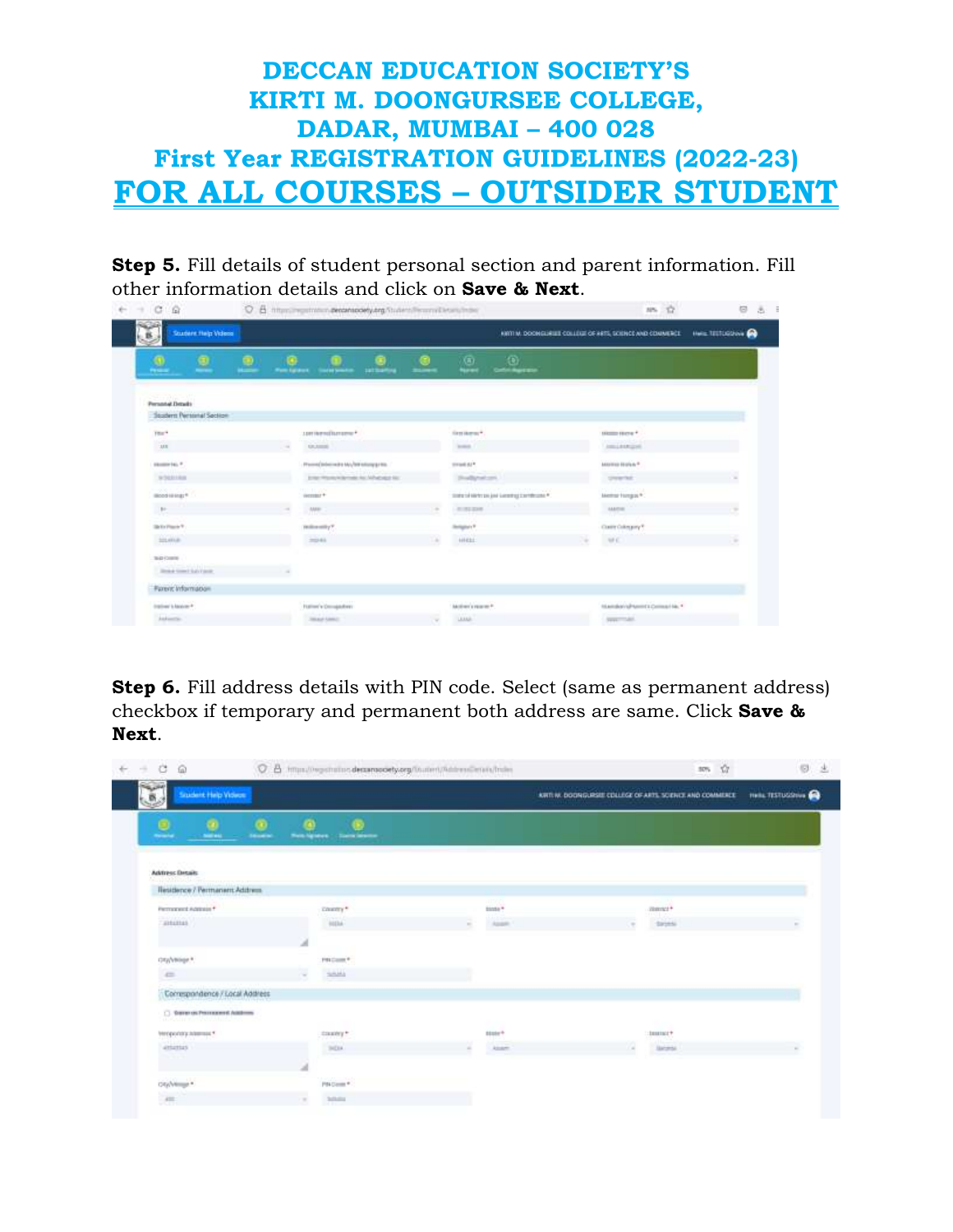**Step 5.** Fill details of student personal section and parent information. Fill other information details and click on **Save & Next**.

| المكتب<br>Soudant Help Videos<br>医 |                     |                                             |                |                                                    | KINTIM, DOORGLIEUE COLLÉGE OF HETS, SCENEE AND COMMERCE. | Hele TELTUSONN A |
|------------------------------------|---------------------|---------------------------------------------|----------------|----------------------------------------------------|----------------------------------------------------------|------------------|
| $\Omega$<br>۰<br>⊕                 | <b>West Egraves</b> | <b>SATISWAY</b><br><b>Install Service</b>   | <b>Birthda</b> | (6)<br>O.<br><b>Catherine Bay</b><br><b>Normal</b> |                                                          |                  |
| <b>Personal Details</b>            |                     |                                             |                |                                                    |                                                          |                  |
| Soudern Personal Section           |                     |                                             |                |                                                    |                                                          |                  |
| Title <sup>14</sup>                |                     | 1001kmsfbmsmu*                              |                | first domes?                                       | 183222141474                                             |                  |
| 3.8.8                              | $\sim$              | <b>ULLIMIN</b>                              |                | <b>SHARE</b>                                       | Amustation                                               |                  |
| contexts."                         |                     | Phone (telecocity Mc/atricing price)        |                | creati 62*                                         | Answer Holyn *                                           |                  |
| SCHAME                             |                     | Entert Hitzung Währtnehr Hat Alfrahaten Hat |                | Shedbytest cont                                    | greenhot.                                                |                  |
| 1000000<br>modeling."              |                     | 115.11.265<br>iscount+                      |                | tions in sections and success of the reference #   | Memor Hongais *                                          |                  |
| $\mathbb{H}$ .                     | $\sim$              | . MHT                                       |                | 41, 12, 23, 15                                     | saams:                                                   |                  |
| <b>Sin Ky Players T</b>            |                     | moleculity?                                 |                | <b>Stellagear</b> (F)                              | Controllingery*                                          |                  |
| terains.                           |                     | 7041                                        |                | HIELL!                                             | ME.                                                      |                  |
| Tele County                        |                     |                                             |                |                                                    |                                                          |                  |
| <b>Joseph Green Laty Cards</b>     |                     |                                             |                |                                                    |                                                          |                  |
| <b>Fureric Information</b>         |                     |                                             |                |                                                    |                                                          |                  |

**Step 6.** Fill address details with PIN code. Select (same as permanent address) checkbox if temporary and permanent both address are same. Click **Save & Next**.

| Ġ<br>偷                                                       | C B Imputing similars decomposity angitude in this territorial finite. |                        | ŵ<br>30%                                                  | $\circ$                  |
|--------------------------------------------------------------|------------------------------------------------------------------------|------------------------|-----------------------------------------------------------|--------------------------|
| الملتي<br><b>Soudant Help Vickers</b><br>à                   |                                                                        |                        | ARTI M. DODNGURSEE COLLEGE OF ARTS, SCIENCE AND COMMERCE. | <b>Hella TESTUGSHING</b> |
| Θ<br>2<br><b>Service</b>                                     | ø<br>ര<br><b>Household</b><br><b>Non-hannel</b><br>Clariformer         |                        |                                                           |                          |
| <b>Address Details</b>                                       |                                                                        |                        |                                                           |                          |
| Residence / Permanent Address                                |                                                                        |                        |                                                           |                          |
| Permanent Address *                                          | cause **                                                               | <b>HOYY</b><br>tions * | $-114.6$<br>mmx+                                          |                          |
| animas                                                       | HIM                                                                    | <b>Mary</b><br>Appen   | 1.41<br>Strinki                                           |                          |
|                                                              |                                                                        |                        |                                                           |                          |
| Oty/vision*                                                  | PROJECT.                                                               |                        |                                                           |                          |
| $\equiv$                                                     | said<br>$\sim$                                                         |                        |                                                           |                          |
| Correspondence / Local Address                               |                                                                        |                        |                                                           |                          |
| C. Graven can Pressessent Autobiogra<br><b>REAL PROPERTY</b> |                                                                        |                        |                                                           |                          |
| теорогизуливных *                                            | casey.                                                                 | titule <sup>+</sup>    | $: 18333321 +$                                            |                          |
| attattas.                                                    | 300A                                                                   | Atom                   | <b>Jacquia</b><br>œ                                       |                          |
|                                                              |                                                                        |                        |                                                           |                          |
| on/verger                                                    | PNGmm <sup>+</sup>                                                     |                        |                                                           |                          |
| $\sim$                                                       | Scholar<br>$\rightarrow$                                               |                        |                                                           |                          |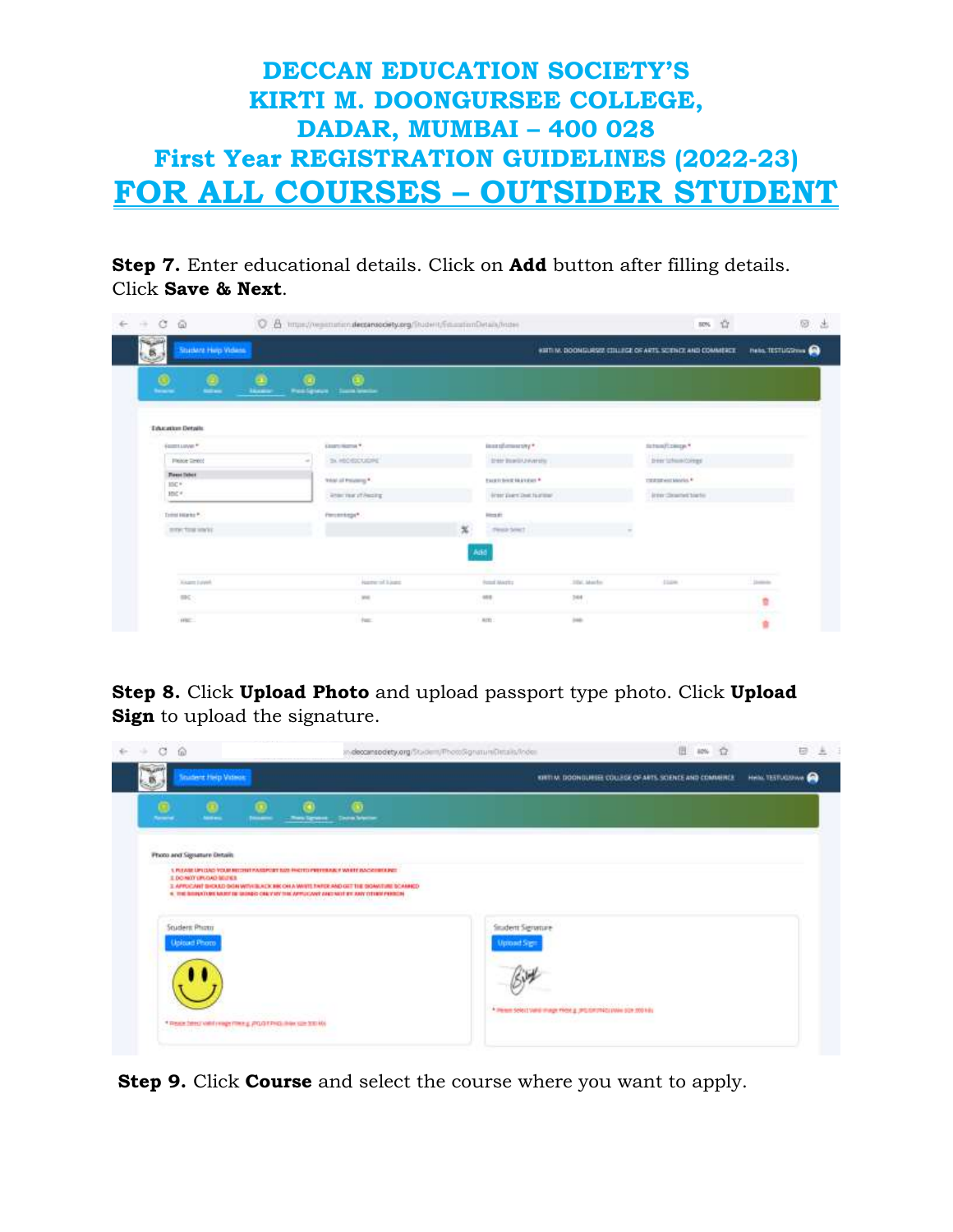**Step 7.** Enter educational details. Click on **Add** button after filling details. Click **Save & Next**.

| Ġ<br>$\tilde{\omega}$<br>Ū.<br>GЖ | B Imper/registration.decreased@ty.org/Student/Email:imfletails/Index |                                                           |                                               | ses th<br><b>Controller State</b>                                                                                                                                                                                                                                                                                                                                            | 后                         |
|-----------------------------------|----------------------------------------------------------------------|-----------------------------------------------------------|-----------------------------------------------|------------------------------------------------------------------------------------------------------------------------------------------------------------------------------------------------------------------------------------------------------------------------------------------------------------------------------------------------------------------------------|---------------------------|
| Student Hep Videos<br>縣           |                                                                      |                                                           |                                               | WHIT IN: DOOM GURSEZ CITLLEGE OF ARTS, SCIENCE AND COMMERCE.                                                                                                                                                                                                                                                                                                                 | <b>Reta. TESTURZITURE</b> |
| $\overline{\bullet}$<br>۵         | Θ                                                                    |                                                           |                                               |                                                                                                                                                                                                                                                                                                                                                                              |                           |
| $\blacksquare$<br>--              | <b>Postgoro</b><br><b>Sammangaller</b>                               |                                                           |                                               |                                                                                                                                                                                                                                                                                                                                                                              |                           |
| <b>Trivialize Details</b>         |                                                                      |                                                           |                                               |                                                                                                                                                                                                                                                                                                                                                                              |                           |
| ECONOMIC F                        | <b>Alternational V</b>                                               | $*$ years of a sum has also                               |                                               | Autom/College.*                                                                                                                                                                                                                                                                                                                                                              |                           |
| <b>Flease Terror</b>              | <b>Historichand</b><br>SA HOLD CASTLER                               |                                                           | <b>Day Barb Livering</b>                      | per utwacorps                                                                                                                                                                                                                                                                                                                                                                |                           |
| <b>These Telect</b><br>HC*        | スカンモア とうし<br><b>Strip of Friends 1</b>                               | Project in the American<br><b>Excells bend Highwayn #</b> |                                               | $\frac{1}{\sqrt{2}}\sum_{i=1}^{n} \frac{1}{\sqrt{2}}\sum_{i=1}^{n} \frac{1}{\sqrt{2}}\sum_{i=1}^{n} \frac{1}{\sqrt{2}}\sum_{i=1}^{n} \frac{1}{\sqrt{2}}\sum_{i=1}^{n} \frac{1}{\sqrt{2}}\sum_{i=1}^{n} \frac{1}{\sqrt{2}}\sum_{i=1}^{n} \frac{1}{\sqrt{2}}\sum_{i=1}^{n} \frac{1}{\sqrt{2}}\sum_{i=1}^{n} \frac{1}{\sqrt{2}}\sum_{i=1}^{n} \frac{1}{\sqrt{2}}\sum_{i=1}^{n}$ |                           |
| Hot v.                            | learne steeing                                                       |                                                           | intrinstitutions                              | Interdimentalists                                                                                                                                                                                                                                                                                                                                                            |                           |
| Total Highle <sup>p</sup>         | Firmsmings*                                                          | <b>Reads</b>                                              |                                               |                                                                                                                                                                                                                                                                                                                                                                              |                           |
| merchanistic                      |                                                                      | $\mathbf{x}$                                              | Peak breat country and control to the country |                                                                                                                                                                                                                                                                                                                                                                              |                           |
|                                   |                                                                      | Add                                                       |                                               |                                                                                                                                                                                                                                                                                                                                                                              |                           |
| Xiages Loyalt                     | <b>Name of Lives</b>                                                 | Forest Machine                                            | ing auch                                      | cion.                                                                                                                                                                                                                                                                                                                                                                        | Jimmin                    |
| m<                                | <b>H</b>                                                             | $-0.01$                                                   |                                               |                                                                                                                                                                                                                                                                                                                                                                              |                           |
|                                   | œ                                                                    |                                                           | $100 - 1$                                     |                                                                                                                                                                                                                                                                                                                                                                              | ù.                        |
| <b>Processing</b><br><b>Hite</b>  | tuc.                                                                 | Act:                                                      | int-                                          |                                                                                                                                                                                                                                                                                                                                                                              |                           |

**Step 8.** Click **Upload Photo** and upload passport type photo. Click **Upload Sign** to upload the signature.

| a<br>$\Omega$                                                                                                                                                                                                                                                                                                                           | n.decomsodety.org/Stadem/PhotoSignatureDetails/Index   | 田                                                          | U                          |
|-----------------------------------------------------------------------------------------------------------------------------------------------------------------------------------------------------------------------------------------------------------------------------------------------------------------------------------------|--------------------------------------------------------|------------------------------------------------------------|----------------------------|
| <b>WARRAN</b><br><b>Souders Help Videos</b>                                                                                                                                                                                                                                                                                             |                                                        | KIRTI M. DOONDURSEE COLLEGE OF ARTS, SCIENCE AND COMMENCE. | <b>Helli TESTUCIONA CO</b> |
| G)<br><b>They Spread - Deca Science</b><br>                                                                                                                                                                                                                                                                                             |                                                        |                                                            |                            |
| Photo and Signature Details<br>LA PURAMIE LEPUZAJO VOLAR BEDORET PAUSEPOSPE SUDI FRIOTECHNICH PER PERMIT PAUSE DE DESERTA<br>3. DO NOT UPLOAD BELTICS.<br>3. APPOICANT BHOULD DIGN WITH BLACK BROWN, MAYIT THINKE AND GET THE SIGAWITHIE SCAMMED.<br>4. THE BRIDGED BLAKE BE BRIDGE CHEV BY THE APPLICAVE AND VICE BY ANY OTHER PERIOD. |                                                        |                                                            |                            |
| <b>Student Photo</b><br><b>Joinad Photo</b>                                                                                                                                                                                                                                                                                             | Student Signature                                      |                                                            |                            |
|                                                                                                                                                                                                                                                                                                                                         |                                                        |                                                            |                            |
|                                                                                                                                                                                                                                                                                                                                         | * Penn Solot wird mage most g productives wire solo in |                                                            |                            |

**Step 9.** Click **Course** and select the course where you want to apply.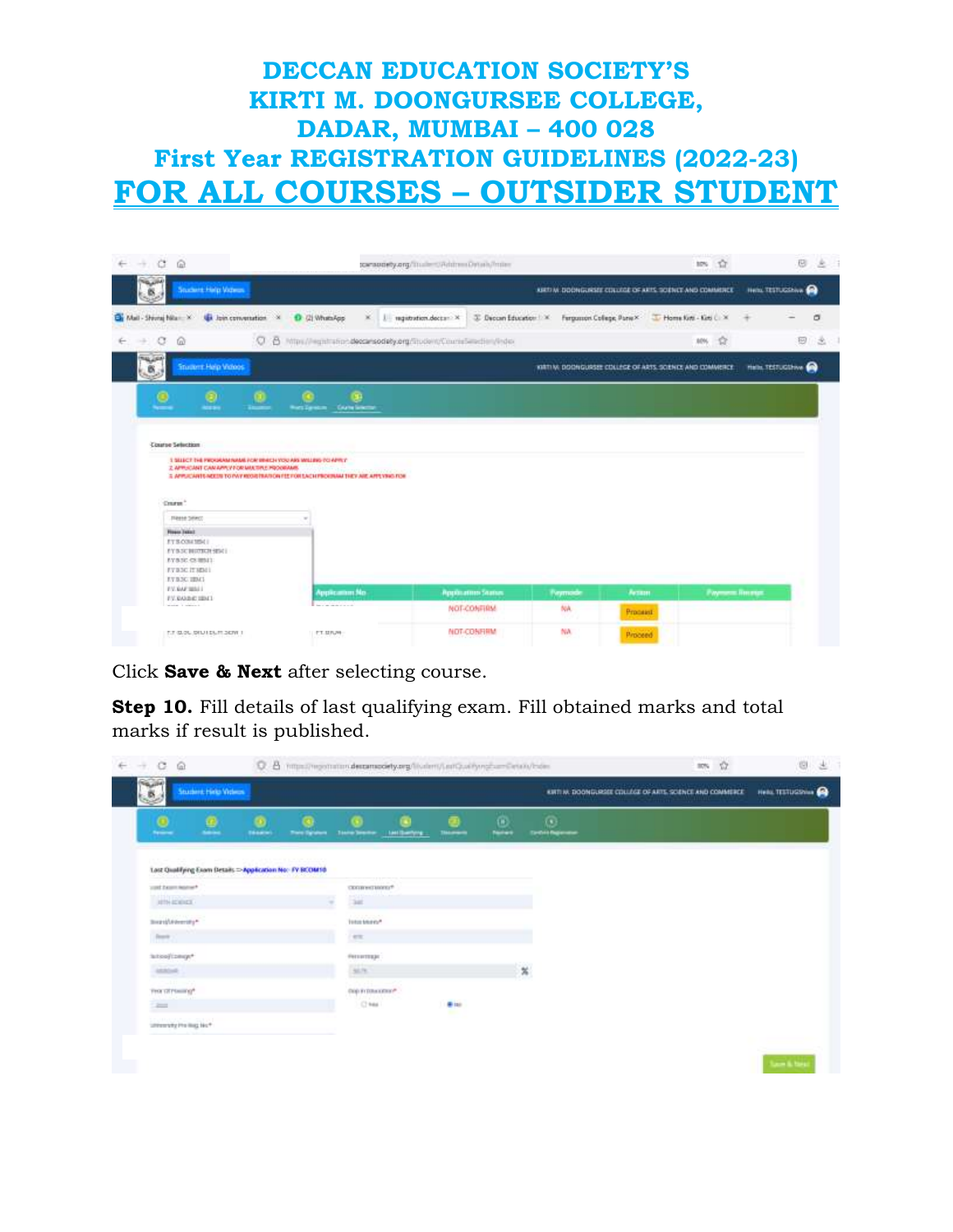| $C$ $\Omega$                                                                    |                              |                 |                              | caraggery.org/illumines/AddressDriveN/miles                          |                                                            |          |                        | 10% 137                      |                            | 日<br>池             |
|---------------------------------------------------------------------------------|------------------------------|-----------------|------------------------------|----------------------------------------------------------------------|------------------------------------------------------------|----------|------------------------|------------------------------|----------------------------|--------------------|
| <b>Soudwist Help Videos</b><br>B                                                |                              |                 |                              |                                                                      | ABRIT M. DOONGURSEE COLUMN OF ARTS, SOENCE AND COMMERCE    |          |                        |                              | <b>Hels: TESTUCINAL CO</b> |                    |
| By Mail - Shirraj Nia - X Us Join convenation X B (2) WhatsApp                  |                              |                 | $X$     ngitution.doctar $X$ |                                                                      | 3 Decon Education   X Fergussion College ParrelX           |          | Home ford - Kird C - X |                              |                            | $\sigma$           |
| $\sigma$<br>硷<br>÷                                                              |                              |                 |                              | C B https://eghthation.deccarsodety.org/liscient/Counstanction/Index |                                                            |          |                        | ŵ<br>30%                     |                            | 回<br>$\mathcal{L}$ |
| <b>NAME</b><br><b>Student Help Vidoos</b><br>ø.                                 |                              |                 |                              |                                                                      | VARTI V: DOONGURSEE COLLEGE OF ARTS, SCIENCE AND COMMERCE. |          |                        |                              | Hele. TESTUCION OF         |                    |
| Θ<br>Θ                                                                          |                              | э               |                              |                                                                      |                                                            |          |                        |                              |                            |                    |
| <b>ALLEN</b>                                                                    | Wort Zarotom Council Station |                 |                              |                                                                      |                                                            |          |                        |                              |                            |                    |
|                                                                                 |                              |                 |                              |                                                                      |                                                            |          |                        |                              |                            |                    |
|                                                                                 |                              |                 |                              |                                                                      |                                                            |          |                        |                              |                            |                    |
|                                                                                 |                              |                 |                              |                                                                      |                                                            |          |                        |                              |                            |                    |
| <b>Course Selection</b>                                                         |                              |                 |                              |                                                                      |                                                            |          |                        |                              |                            |                    |
| 1 SEECT THE PROGRAM NAME FOR BRICH YOU ARE MILERS TO APRILY                     |                              |                 |                              |                                                                      |                                                            |          |                        |                              |                            |                    |
| 2 APPLICANT CAN APPLY FOR MALTIPLE PROGRAMS.                                    |                              |                 |                              |                                                                      |                                                            |          |                        |                              |                            |                    |
| 3. APPUCANTS NOTER TO PAY ROSETMATION FEETOH SACH PROGRAM THEY ARE APPLYING FOR |                              |                 |                              |                                                                      |                                                            |          |                        |                              |                            |                    |
|                                                                                 |                              |                 |                              |                                                                      |                                                            |          |                        |                              |                            |                    |
| Course."                                                                        |                              |                 |                              |                                                                      |                                                            |          |                        |                              |                            |                    |
|                                                                                 |                              |                 |                              |                                                                      |                                                            |          |                        |                              |                            |                    |
| <b>Flesse Sewot</b>                                                             |                              |                 |                              |                                                                      |                                                            |          |                        |                              |                            |                    |
| <b>Firest Sales</b>                                                             |                              |                 |                              |                                                                      |                                                            |          |                        |                              |                            |                    |
| EYBOIN18911                                                                     |                              |                 |                              |                                                                      |                                                            |          |                        |                              |                            |                    |
| EYB SC BUOXIE SISCE<br>EVASCOURSE                                               |                              |                 |                              |                                                                      |                                                            |          |                        |                              |                            |                    |
| EVANC IT MIN)                                                                   |                              |                 |                              |                                                                      |                                                            |          |                        |                              |                            |                    |
| EVRNG HIM-                                                                      |                              |                 |                              |                                                                      |                                                            |          |                        |                              |                            |                    |
| EVAN WALL                                                                       |                              | Application No. |                              | Application Status                                                   |                                                            | Актази   |                        |                              |                            |                    |
| EV/RAINFIEMT<br>present to continue to                                          |                              |                 |                              |                                                                      | Paymode                                                    |          |                        | <b><i>Payment</i></b> Recept |                            |                    |
|                                                                                 |                              |                 |                              | <b>NOT-CONTRIM</b>                                                   | NA.                                                        | Processi |                        |                              |                            |                    |
|                                                                                 |                              |                 |                              | <b>NOT-CONFIRM</b>                                                   | NA.                                                        |          |                        |                              |                            |                    |

Click **Save & Next** after selecting course.

**Step 10.** Fill details of last qualifying exam. Fill obtained marks and total marks if result is published.

| 唇                                                        | <b>Student Hirls Videos</b> |               |                    |                      |                |                  |                                    |                                    | KWTI W. DOONGLASSE COLLEGE OF ARTS, SCIENCE AND COMMERCE | Heliu TESTUSSININ CO |
|----------------------------------------------------------|-----------------------------|---------------|--------------------|----------------------|----------------|------------------|------------------------------------|------------------------------------|----------------------------------------------------------|----------------------|
| $\circ$<br><b>Spinster</b>                               | ø<br><b>Sales</b>           | <b>Ténant</b> | <b>Toro System</b> | <b>Teste Senter</b>  | Last Barriers  | <b>Theaning</b>  | Θ<br><b><i><u>Restaura</u></i></b> | $\odot$<br><b>Tarthis Reporter</b> |                                                          |                      |
| Lost Qualifying Exam Details =>Application No: FY BCOM10 |                             |               |                    |                      |                |                  |                                    |                                    |                                                          |                      |
| yout heart heat w <sup>+</sup>                           |                             |               |                    | COLOR HAT MODELS!    |                |                  |                                    |                                    |                                                          |                      |
| <b>MAILBACK</b><br><b>JETH RODUCK</b>                    |                             |               |                    | 92                   |                |                  |                                    |                                    |                                                          |                      |
| mentenerary*                                             |                             |               |                    | Manad<br>luta terror |                |                  |                                    |                                    |                                                          |                      |
| $\sim$                                                   |                             |               |                    | <b>WIE</b>           |                |                  |                                    |                                    |                                                          |                      |
| lation/(zexp/*                                           |                             |               |                    | <b>Регистора</b>     |                |                  |                                    |                                    |                                                          |                      |
| <b>GRAN</b>                                              |                             |               |                    | M/K                  |                |                  |                                    | $\boldsymbol{\mathrm{x}}$          |                                                          |                      |
| $-111 - 0$<br>First (Stylesing*)                         |                             |               |                    | DOD IN DRAWERS !!    |                |                  |                                    |                                    |                                                          |                      |
| $\equiv$                                                 |                             |               |                    | $C$ heal             | <b>WARNERS</b> | <b>With</b><br>÷ |                                    |                                    |                                                          |                      |
| interesty the leg last                                   |                             |               |                    |                      |                |                  |                                    |                                    |                                                          |                      |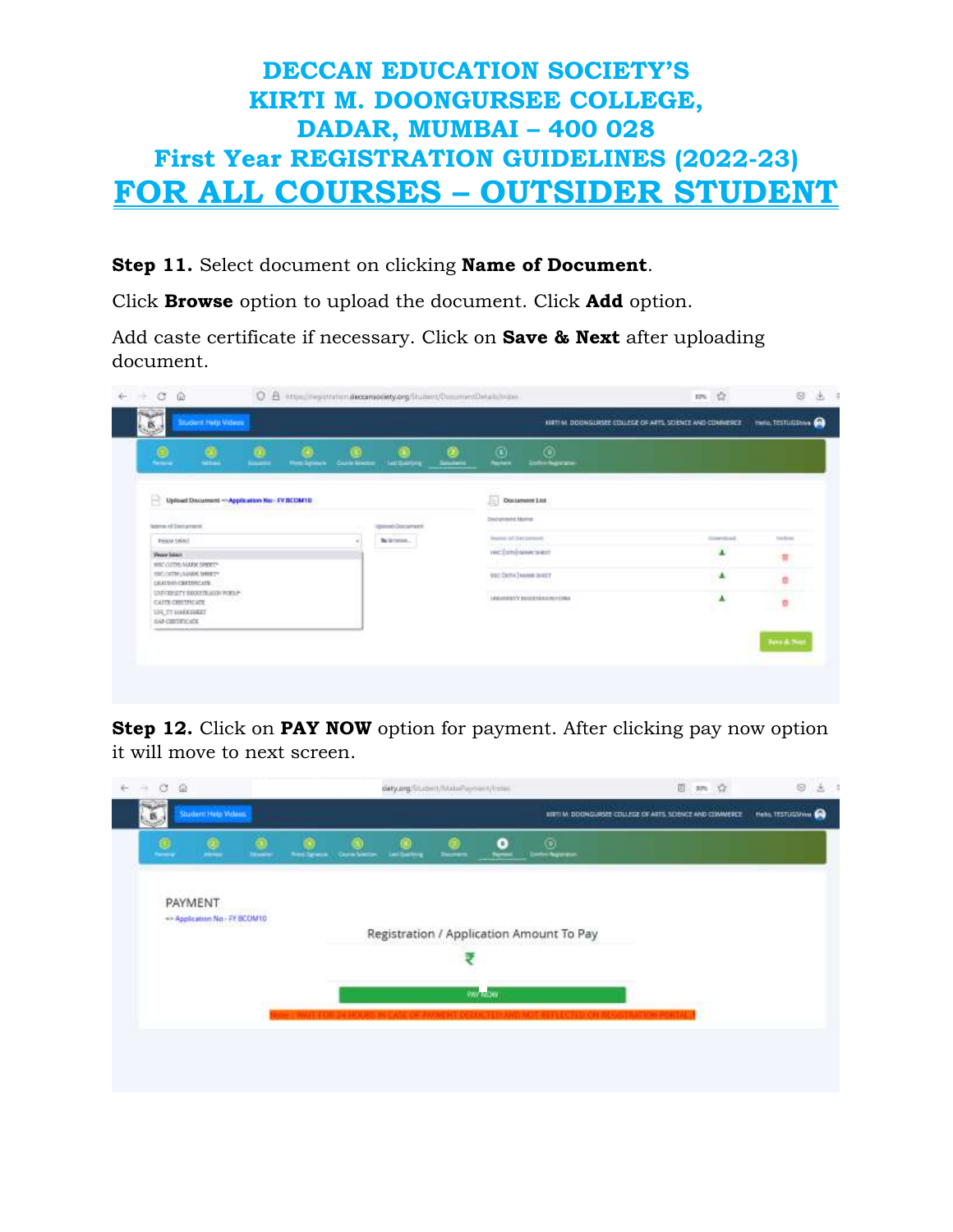#### **Step 11.** Select document on clicking **Name of Document**.

Click **Browse** option to upload the document. Click **Add** option.

Add caste certificate if necessary. Click on **Save & Next** after uploading document.

| ≗                                                                                    | ٥<br><b>NETWORK</b> | Θ<br>سند                                  | <b>Post-Spream</b> | Course Minister | <b>Last Gambers</b> | <b>Seatters</b> | ≗                         | $^{\circ}$<br><b><i><u>Information</u></i></b> |                                |                       |
|--------------------------------------------------------------------------------------|---------------------|-------------------------------------------|--------------------|-----------------|---------------------|-----------------|---------------------------|------------------------------------------------|--------------------------------|-----------------------|
| B                                                                                    |                     | Upload Document ~Application No: FYBCOM10 |                    |                 |                     |                 | E Rocument Ltd            |                                                |                                |                       |
| keywork Declarence                                                                   |                     |                                           |                    |                 | game Document       |                 | <b>Disclaiment Market</b> |                                                |                                |                       |
| <b>PHONE SAMIL</b>                                                                   |                     |                                           |                    |                 | Belintered          |                 | Heaten of Macagana        |                                                | <b><i><u>Important</u></i></b> | tekno                 |
| Thurs Select                                                                         |                     |                                           |                    |                 |                     |                 |                           | нісінішменен                                   |                                | u                     |
| WISCOUTFLOANING SPIRITS<br>IDCOTTE/MADS DRIVE<br>CALIFORNIC RETIRECTS:               |                     |                                           |                    |                 |                     |                 |                           | ESCOUTILE MANAGEMENT                           | 业                              | ä                     |
| UNIVERSITY BECOME MAN FORM?<br>CARD CONTROLLER<br>USL TYMARKWRAT<br>(64) CERTIFICATE |                     |                                           |                    |                 |                     |                 |                           | LABURERTY BEGISTERADOTIONA                     | ۸                              | n                     |
|                                                                                      |                     |                                           |                    |                 |                     |                 |                           |                                                |                                | <b>Bern &amp; Nee</b> |

**Step 12.** Click on **PAY NOW** option for payment. After clicking pay now option it will move to next screen.

| 覉       | Student Help Wolens           |                 |                  |            |                    |                |                    |                                          | RESTI M. DISCHIGURESE COULEGE DF ARTS SCIENCE AND COMMERCE. | Helis. TESTUGINING |
|---------|-------------------------------|-----------------|------------------|------------|--------------------|----------------|--------------------|------------------------------------------|-------------------------------------------------------------|--------------------|
| $\circ$ | ø                             | <b>Income</b>   | <b>BestSpace</b> | Contractor | <b>Las Swifers</b> | <b>Secrets</b> | ۰<br><b>Norwal</b> | $\circ$<br><b>Serbs hightest</b>         |                                                             |                    |
|         | the first projection in this  |                 |                  |            |                    |                |                    |                                          |                                                             |                    |
|         | PAYMENT                       | e este a la con |                  |            |                    |                |                    |                                          |                                                             |                    |
|         | ** Application No - FY BCOM10 |                 |                  |            |                    |                |                    | Registration / Application Amount To Pay |                                                             |                    |
|         |                               |                 |                  |            |                    |                |                    |                                          |                                                             |                    |
|         |                               |                 |                  |            |                    |                | PAY NOW            |                                          |                                                             |                    |
|         |                               |                 |                  |            |                    |                |                    |                                          |                                                             |                    |
|         |                               |                 |                  |            |                    |                |                    |                                          |                                                             |                    |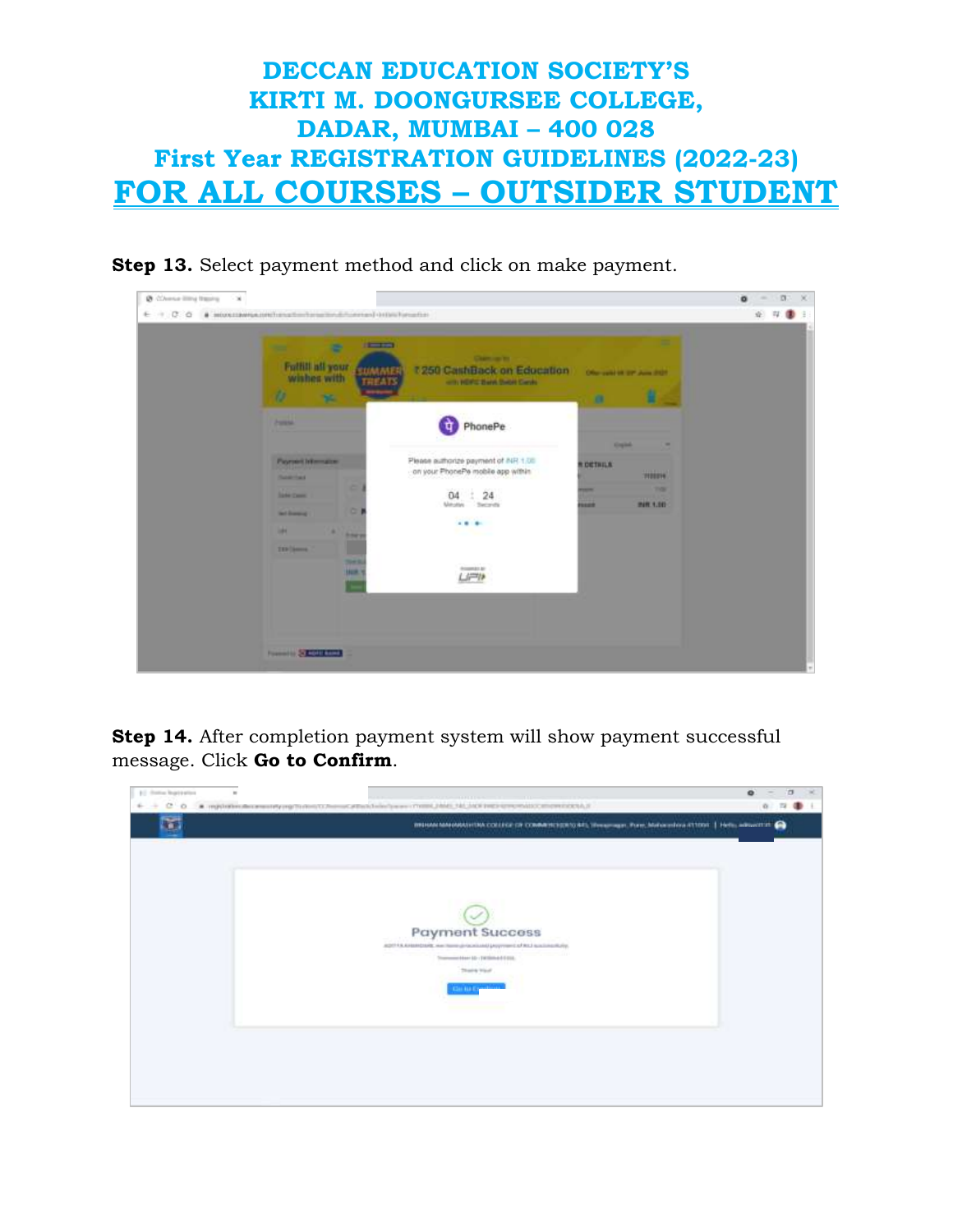

**Step 13.** Select payment method and click on make payment.

| $-100$<br>÷<br>÷<br>Fulfill all your<br>EDMANE<br>wishes with<br><b>HILAD</b><br>n                                                        | <b>Chemical Inc.</b><br>7 250 CashBack on Education<br>with HDFG Bank Swort Cards                                                 | Oherswirter am June 2021.       | н                                                        |  |
|-------------------------------------------------------------------------------------------------------------------------------------------|-----------------------------------------------------------------------------------------------------------------------------------|---------------------------------|----------------------------------------------------------|--|
| <b>TE</b><br><b>Parents</b>                                                                                                               | PhonePe<br>प                                                                                                                      | $\mathbf{a}$<br><b>Kinglede</b> | ۰                                                        |  |
| <b>Payment Information</b><br><b><i><u>SAMTAS</u></i></b><br>٠<br><b>Sales Cases</b><br>٠<br><b>Said Bowman</b><br>m<br>٠<br><b>Board</b> | Please authorize payment of INR 1.00<br>on your PhonePe mobile app within<br>24<br>đ.<br>04<br>Meuter<br><b>Security</b><br>49.95 | <b>ROCTRILA</b><br><b>SEER</b>  | <b>WEEDS</b><br><b>This is</b><br><b><i>PHR 1.00</i></b> |  |
| Г<br><b>TERCHANGE</b><br><b>SHA</b><br><b>Hotel</b><br>Œ                                                                                  | <b>ROMAN M</b><br>LIPP                                                                                                            |                                 |                                                          |  |

**Step 14.** After completion payment system will show payment successful message. Click **Go to Confirm**.

| (c) channel buyer parties<br>$\mathbf{u}$<br>$6 + 100$ | * первого наменительно протести по лекарство и политического состояния действа и на детском советство политической | $\bullet$<br>$\sigma$<br>音 四 |
|--------------------------------------------------------|--------------------------------------------------------------------------------------------------------------------|------------------------------|
|                                                        | WERNMANNOWSHIM COLLEGE OF COMMITCHIOLOGIC Historyan, Pare Malacedos (11000   Hele, admitted Co.                    |                              |
|                                                        |                                                                                                                    |                              |
|                                                        |                                                                                                                    |                              |
|                                                        |                                                                                                                    |                              |
|                                                        | <b>Payment Success</b>                                                                                             |                              |
|                                                        | ADDITILARIANDER ANTIQUE (CONTAMI) PSYTHIOLOGICAL BALLASING)<br>Transmitted by (Wilmed Fire.)                       |                              |
|                                                        | Thank Vald                                                                                                         |                              |
|                                                        | <b>Car Ha Expedition</b>                                                                                           |                              |
|                                                        |                                                                                                                    |                              |
|                                                        |                                                                                                                    |                              |
|                                                        |                                                                                                                    |                              |
|                                                        |                                                                                                                    |                              |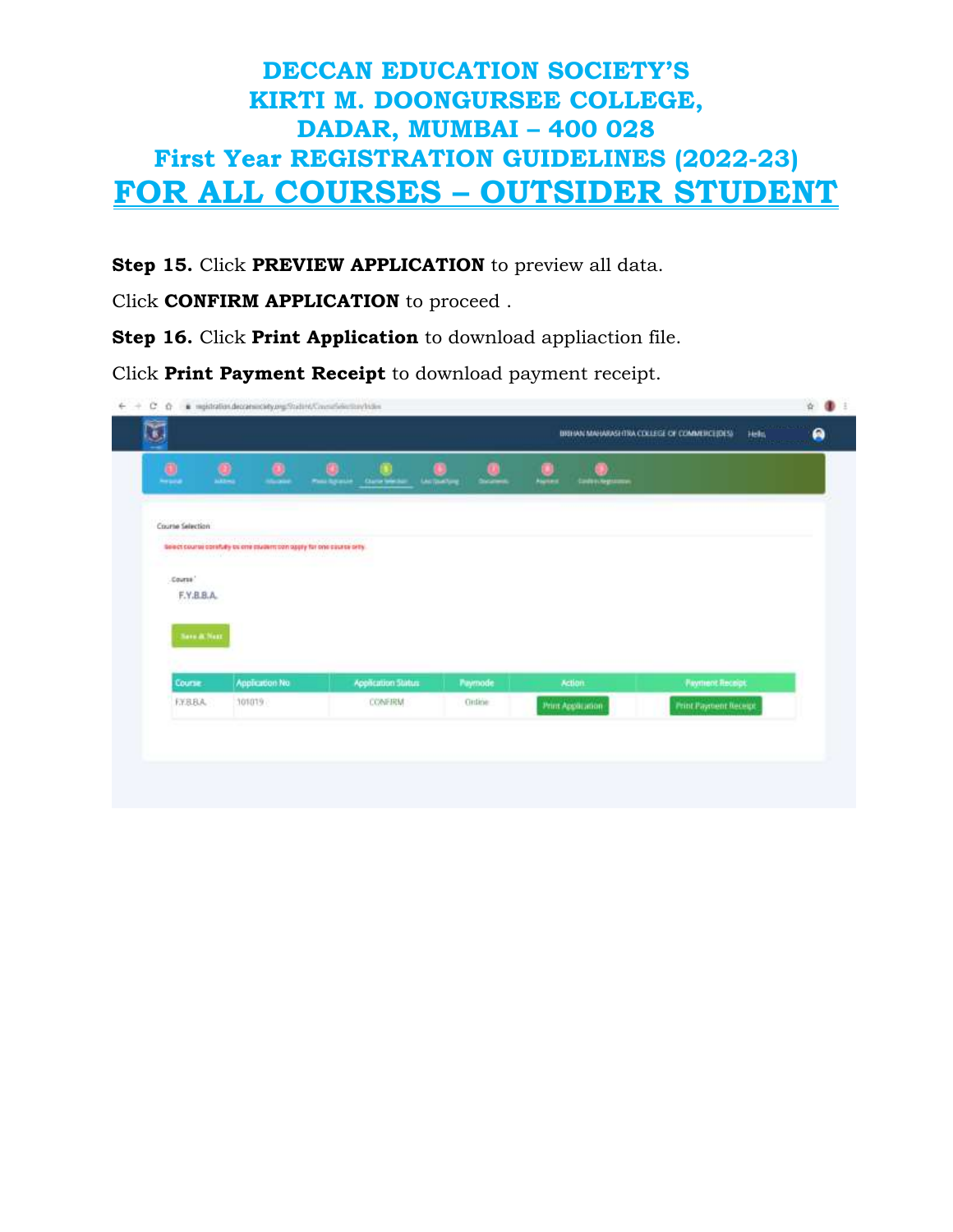**Step 15.** Click **PREVIEW APPLICATION** to preview all data.

Click **CONFIRM APPLICATION** to proceed .

**Step 16.** Click **Print Application** to download appliaction file.

Click **Print Payment Receipt** to download payment receipt.

| $\qquad \qquad \bullet$<br><b>Service</b> | $\pmb{\underline{\theta}}$<br>۰<br><b>House</b>                        | œ<br>œ<br>Pass Agency<br><b>Clump Western</b> | œ<br>a<br><b>LAUTOMOTIVE</b><br><b>Discussed</b> | .,<br><b>Algriced</b><br><b>Codeschegramme</b> |                        |
|-------------------------------------------|------------------------------------------------------------------------|-----------------------------------------------|--------------------------------------------------|------------------------------------------------|------------------------|
| Course Selection                          |                                                                        |                                               |                                                  |                                                |                        |
|                                           | belieft course corefully be one pludent con apply for one course only. |                                               |                                                  |                                                |                        |
| Course <sup>1</sup>                       |                                                                        |                                               |                                                  |                                                |                        |
| F.Y.B.B.A.                                |                                                                        |                                               |                                                  |                                                |                        |
|                                           |                                                                        |                                               |                                                  |                                                |                        |
|                                           |                                                                        |                                               |                                                  |                                                |                        |
| <b>Sova</b> Not                           |                                                                        |                                               |                                                  |                                                |                        |
| Course                                    | Application No.                                                        | Application Status                            | Paymode                                          | Action.                                        | <b>Payment Receipt</b> |